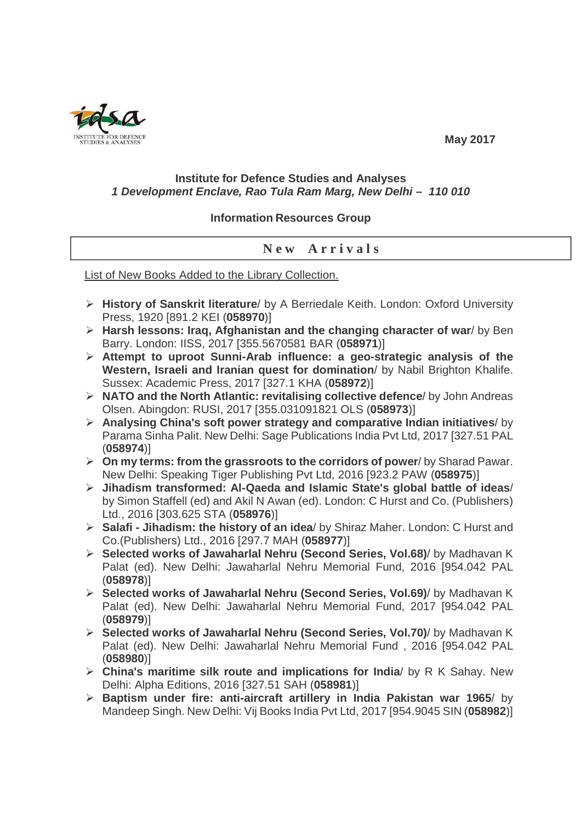

## **May 2017**

## **Institute for Defence Studies and Analyses 1 Development Enclave, Rao Tula Ram Marg, New Delhi – 110 010**

## **Information Resources Group**

## **N e w A r r i v a l s**

List of New Books Added to the Library Collection.

- **History of Sanskrit literature**/ by A Berriedale Keith. London: Oxford University Press, 1920 [891.2 KEI (**058970**)]
- **Harsh lessons: Iraq, Afghanistan and the changing character of war**/ by Ben Barry. London: IISS, 2017 [355.5670581 BAR (**058971**)]
- **Attempt to uproot Sunni-Arab influence: a geo-strategic analysis of the Western, Israeli and Iranian quest for domination**/ by Nabil Brighton Khalife. Sussex: Academic Press, 2017 [327.1 KHA (**058972**)]
- **NATO and the North Atlantic: revitalising collective defence**/ by John Andreas Olsen. Abingdon: RUSI, 2017 [355.031091821 OLS (**058973**)]
- **Analysing China's soft power strategy and comparative Indian initiatives**/ by Parama Sinha Palit. New Delhi: Sage Publications India Pvt Ltd, 2017 [327.51 PAL (**058974**)]
- **On my terms: from the grassroots to the corridors of power**/ by Sharad Pawar. New Delhi: Speaking Tiger Publishing Pvt Ltd, 2016 [923.2 PAW (**058975**)]
- **Jihadism transformed: Al-Qaeda and Islamic State's global battle of ideas**/ by Simon Staffell (ed) and Akil N Awan (ed). London: C Hurst and Co. (Publishers) Ltd., 2016 [303.625 STA (**058976**)]
- **Salafi Jihadism: the history of an idea**/ by Shiraz Maher. London: C Hurst and Co.(Publishers) Ltd., 2016 [297.7 MAH (**058977**)]
- **Selected works of Jawaharlal Nehru (Second Series, Vol.68)**/ by Madhavan K Palat (ed). New Delhi: Jawaharlal Nehru Memorial Fund, 2016 [954.042 PAL (**058978**)]
- **Selected works of Jawaharlal Nehru (Second Series, Vol.69)**/ by Madhavan K Palat (ed). New Delhi: Jawaharlal Nehru Memorial Fund, 2017 [954.042 PAL (**058979**)]
- **Selected works of Jawaharlal Nehru (Second Series, Vol.70)**/ by Madhavan K Palat (ed). New Delhi: Jawaharlal Nehru Memorial Fund , 2016 [954.042 PAL (**058980**)]
- **China's maritime silk route and implications for India**/ by R K Sahay. New Delhi: Alpha Editions, 2016 [327.51 SAH (**058981**)]
- **Baptism under fire: anti-aircraft artillery in India Pakistan war 1965**/ by Mandeep Singh. New Delhi: Vij Books India Pvt Ltd, 2017 [954.9045 SIN (**058982**)]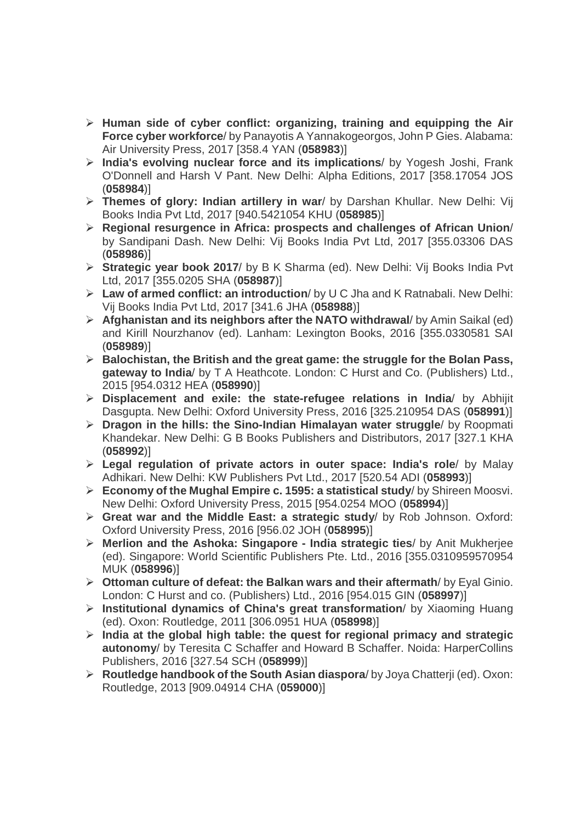- **Human side of cyber conflict: organizing, training and equipping the Air Force cyber workforce**/ by Panayotis A Yannakogeorgos, John P Gies. Alabama: Air University Press, 2017 [358.4 YAN (**058983**)]
- **India's evolving nuclear force and its implications**/ by Yogesh Joshi, Frank O'Donnell and Harsh V Pant. New Delhi: Alpha Editions, 2017 [358.17054 JOS (**058984**)]
- **Themes of glory: Indian artillery in war**/ by Darshan Khullar. New Delhi: Vij Books India Pvt Ltd, 2017 [940.5421054 KHU (**058985**)]
- **Regional resurgence in Africa: prospects and challenges of African Union**/ by Sandipani Dash. New Delhi: Vij Books India Pvt Ltd, 2017 [355.03306 DAS (**058986**)]
- **Strategic year book 2017**/ by B K Sharma (ed). New Delhi: Vij Books India Pvt Ltd, 2017 [355.0205 SHA (**058987**)]
- **Law of armed conflict: an introduction**/ by U C Jha and K Ratnabali. New Delhi: Vij Books India Pvt Ltd, 2017 [341.6 JHA (**058988**)]
- **Afghanistan and its neighbors after the NATO withdrawal**/ by Amin Saikal (ed) and Kirill Nourzhanov (ed). Lanham: Lexington Books, 2016 [355.0330581 SAI (**058989**)]
- **Balochistan, the British and the great game: the struggle for the Bolan Pass, gateway to India**/ by T A Heathcote. London: C Hurst and Co. (Publishers) Ltd., 2015 [954.0312 HEA (**058990**)]
- **Displacement and exile: the state-refugee relations in India**/ by Abhijit Dasgupta. New Delhi: Oxford University Press, 2016 [325.210954 DAS (**058991**)]
- **Dragon in the hills: the Sino-Indian Himalayan water struggle**/ by Roopmati Khandekar. New Delhi: G B Books Publishers and Distributors, 2017 [327.1 KHA (**058992**)]
- **Legal regulation of private actors in outer space: India's role**/ by Malay Adhikari. New Delhi: KW Publishers Pvt Ltd., 2017 [520.54 ADI (**058993**)]
- **Economy of the Mughal Empire c. 1595: a statistical study**/ by Shireen Moosvi. New Delhi: Oxford University Press, 2015 [954.0254 MOO (**058994**)]
- **Great war and the Middle East: a strategic study**/ by Rob Johnson. Oxford: Oxford University Press, 2016 [956.02 JOH (**058995**)]
- **Merlion and the Ashoka: Singapore India strategic ties**/ by Anit Mukherjee (ed). Singapore: World Scientific Publishers Pte. Ltd., 2016 [355.0310959570954 MUK (**058996**)]
- **Ottoman culture of defeat: the Balkan wars and their aftermath**/ by Eyal Ginio. London: C Hurst and co. (Publishers) Ltd., 2016 [954.015 GIN (**058997**)]
- **Institutional dynamics of China's great transformation**/ by Xiaoming Huang (ed). Oxon: Routledge, 2011 [306.0951 HUA (**058998**)]
- **India at the global high table: the quest for regional primacy and strategic autonomy**/ by Teresita C Schaffer and Howard B Schaffer. Noida: HarperCollins Publishers, 2016 [327.54 SCH (**058999**)]
- **Routledge handbook of the South Asian diaspora**/ by Joya Chatterji (ed). Oxon: Routledge, 2013 [909.04914 CHA (**059000**)]